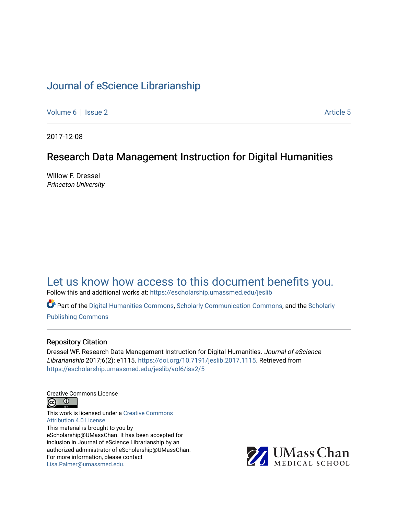# [Journal of eScience Librarianship](https://escholarship.umassmed.edu/jeslib)

[Volume 6](https://escholarship.umassmed.edu/jeslib/vol6) | [Issue 2](https://escholarship.umassmed.edu/jeslib/vol6/iss2) Article 5

2017-12-08

# Research Data Management Instruction for Digital Humanities

Willow F. Dressel Princeton University

# [Let us know how access to this document benefits you.](https://arcsapps.umassmed.edu/redcap/surveys/?s=XWRHNF9EJE)

Follow this and additional works at: [https://escholarship.umassmed.edu/jeslib](https://escholarship.umassmed.edu/jeslib?utm_source=escholarship.umassmed.edu%2Fjeslib%2Fvol6%2Fiss2%2F5&utm_medium=PDF&utm_campaign=PDFCoverPages) 

Part of the [Digital Humanities Commons](http://network.bepress.com/hgg/discipline/1286?utm_source=escholarship.umassmed.edu%2Fjeslib%2Fvol6%2Fiss2%2F5&utm_medium=PDF&utm_campaign=PDFCoverPages), [Scholarly Communication Commons](http://network.bepress.com/hgg/discipline/1272?utm_source=escholarship.umassmed.edu%2Fjeslib%2Fvol6%2Fiss2%2F5&utm_medium=PDF&utm_campaign=PDFCoverPages), and the [Scholarly](http://network.bepress.com/hgg/discipline/1273?utm_source=escholarship.umassmed.edu%2Fjeslib%2Fvol6%2Fiss2%2F5&utm_medium=PDF&utm_campaign=PDFCoverPages) [Publishing Commons](http://network.bepress.com/hgg/discipline/1273?utm_source=escholarship.umassmed.edu%2Fjeslib%2Fvol6%2Fiss2%2F5&utm_medium=PDF&utm_campaign=PDFCoverPages)

#### Repository Citation

Dressel WF. Research Data Management Instruction for Digital Humanities. Journal of eScience Librarianship 2017;6(2): e1115. [https://doi.org/10.7191/jeslib.2017.1115.](https://doi.org/10.7191/jeslib.2017.1115) Retrieved from [https://escholarship.umassmed.edu/jeslib/vol6/iss2/5](https://escholarship.umassmed.edu/jeslib/vol6/iss2/5?utm_source=escholarship.umassmed.edu%2Fjeslib%2Fvol6%2Fiss2%2F5&utm_medium=PDF&utm_campaign=PDFCoverPages) 

Creative Commons License



This work is licensed under a [Creative Commons](https://creativecommons.org/licenses/by/4.0/) [Attribution 4.0 License.](https://creativecommons.org/licenses/by/4.0/) This material is brought to you by eScholarship@UMassChan. It has been accepted for inclusion in Journal of eScience Librarianship by an authorized administrator of eScholarship@UMassChan. For more information, please contact [Lisa.Palmer@umassmed.edu](mailto:Lisa.Palmer@umassmed.edu).

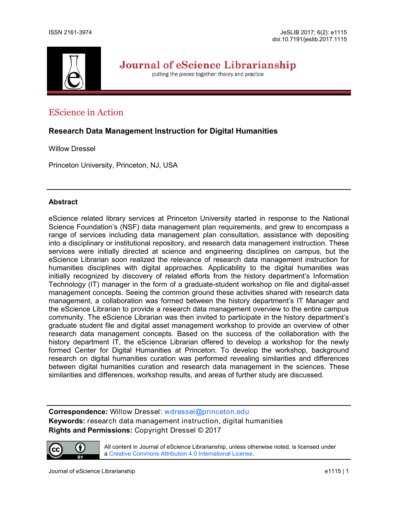

Journal of eScience Librarianship

putting the pieces together: theory and practice

# EScience in Action

# **Research Data Management Instruction for Digital Humanities**

Willow Dressel

Princeton University, Princeton, NJ, USA

#### **Abstract**

eScience related library services at Princeton University started in response to the National Science Foundation's (NSF) data management plan requirements, and grew to encompass a range of services including data management plan consultation, assistance with depositing into a disciplinary or institutional repository, and research data management instruction. These services were initially directed at science and engineering disciplines on campus, but the eScience Librarian soon realized the relevance of research data management instruction for humanities disciplines with digital approaches. Applicability to the digital humanities was initially recognized by discovery of related efforts from the history department's Information Technology (IT) manager in the form of a graduate-student workshop on file and digital-asset management concepts. Seeing the common ground these activities shared with research data management, a collaboration was formed between the history department's IT Manager and the eScience Librarian to provide a research data management overview to the entire campus community. The eScience Librarian was then invited to participate in the history department's graduate student file and digital asset management workshop to provide an overview of other research data management concepts. Based on the success of the collaboration with the history department IT, the eScience Librarian offered to develop a workshop for the newly formed Center for Digital Humanities at Princeton. To develop the workshop, background research on digital humanities curation was performed revealing similarities and differences between digital humanities curation and research data management in the sciences. These similarities and differences, workshop results, and areas of further study are discussed.

## **Correspondence:** Willow Dressel: [wdressel@princeton.edu](mailto:wdressel@princeton.edu) **Keywords:** research data management instruction, digital humanities **Rights and Permissions:** Copyright Dressel © 2017



All content in Journal of eScience Librarianship, unless otherwise noted, is licensed under a [Creative Commons Attribution 4.0 International License.](http://creativecommons.org/licenses/by/4.0/)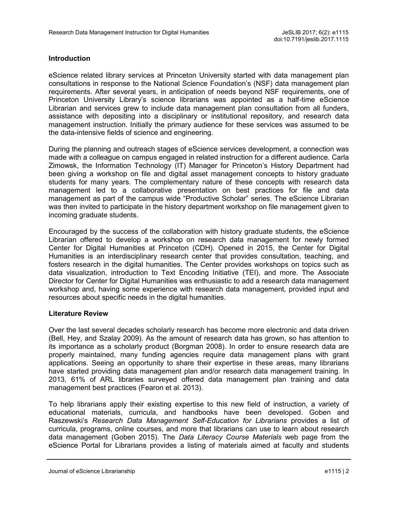## **Introduction**

eScience related library services at Princeton University started with data management plan consultations in response to the National Science Foundation's (NSF) data management plan requirements. After several years, in anticipation of needs beyond NSF requirements, one of Princeton University Library's science librarians was appointed as a half-time eScience Librarian and services grew to include data management plan consultation from all funders, assistance with depositing into a disciplinary or institutional repository, and research data management instruction. Initially the primary audience for these services was assumed to be the data-intensive fields of science and engineering.

During the planning and outreach stages of eScience services development, a connection was made with a colleague on campus engaged in related instruction for a different audience. Carla Zimowsk, the Information Technology (IT) Manager for Princeton's History Department had been giving a workshop on file and digital asset management concepts to history graduate students for many years. The complementary nature of these concepts with research data management led to a collaborative presentation on best practices for file and data management as part of the campus wide "Productive Scholar" series. The eScience Librarian was then invited to participate in the history department workshop on file management given to incoming graduate students.

Encouraged by the success of the collaboration with history graduate students, the eScience Librarian offered to develop a workshop on research data management for newly formed Center for Digital Humanities at Princeton (CDH). Opened in 2015, the Center for Digital Humanities is an interdisciplinary research center that provides consultation, teaching, and fosters research in the digital humanities. The Center provides workshops on topics such as data visualization, introduction to Text Encoding Initiative (TEI), and more. The Associate Director for Center for Digital Humanities was enthusiastic to add a research data management workshop and, having some experience with research data management, provided input and resources about specific needs in the digital humanities.

#### **Literature Review**

Over the last several decades scholarly research has become more electronic and data driven (Bell, Hey, and Szalay 2009). As the amount of research data has grown, so has attention to its importance as a scholarly product (Borgman 2008). In order to ensure research data are properly maintained, many funding agencies require data management plans with grant applications. Seeing an opportunity to share their expertise in these areas, many librarians have started providing data management plan and/or research data management training. In 2013, 61% of ARL libraries surveyed offered data management plan training and data management best practices (Fearon et al. 2013).

To help librarians apply their existing expertise to this new field of instruction, a variety of educational materials, curricula, and handbooks have been developed. Goben and Raszewski's *Research Data Management Self-Education for Librarians* provides a list of curricula, programs, online courses, and more that librarians can use to learn about research data management (Goben 2015). The *Data Literacy Course Materials* web page from the eScience Portal for Librarians provides a listing of materials aimed at faculty and students

Journal of eScience Librarianship e1115 | 2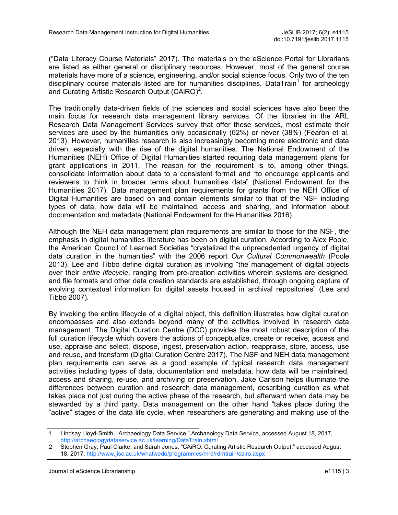("Data Literacy Course Materials" 2017). The materials on the eScience Portal for Librarians are listed as either general or disciplinary resources. However, most of the general course materials have more of a science, engineering, and/or social science focus. Only two of the ten disciplinary course materials listed are for humanities disciplines, DataTrain<sup>1</sup> for archeology and Curating Artistic Research Output (CAiRO)<sup>2</sup>.

The traditionally data-driven fields of the sciences and social sciences have also been the main focus for research data management library services. Of the libraries in the ARL Research Data Management Services survey that offer these services, most estimate their services are used by the humanities only occasionally (62%) or never (38%) (Fearon et al. 2013). However, humanities research is also increasingly becoming more electronic and data driven, especially with the rise of the digital humanities. The National Endowment of the Humanities (NEH) Office of Digital Humanities started requiring data management plans for grant applications in 2011. The reason for the requirement is to, among other things, consolidate information about data to a consistent format and "to encourage applicants and reviewers to think in broader terms about humanities data" (National Endowment for the Humanities 2017). Data management plan requirements for grants from the NEH Office of Digital Humanities are based on and contain elements similar to that of the NSF including types of data, how data will be maintained, access and sharing, and information about documentation and metadata (National Endowment for the Humanities 2016).

Although the NEH data management plan requirements are similar to those for the NSF, the emphasis in digital humanities literature has been on digital curation. According to Alex Poole, the American Council of Learned Societies "crystalized the unprecedented urgency of digital data curation in the humanities" with the 2006 report *Our Cultural Commonwealth* (Poole 2013). Lee and Tibbo define digital curation as involving "the management of digital objects over their *entire lifecycle*, ranging from pre-creation activities wherein systems are designed, and file formats and other data creation standards are established, through ongoing capture of evolving contextual information for digital assets housed in archival repositories" (Lee and Tibbo 2007).

By invoking the entire lifecycle of a digital object, this definition illustrates how digital curation encompasses and also extends beyond many of the activities involved in research data management. The Digital Curation Centre (DCC) provides the most robust description of the full curation lifecycle which covers the actions of conceptualize, create or receive, access and use, appraise and select, dispose, ingest, preservation action, reappraise, store, access, use and reuse, and transform (Digital Curation Centre 2017). The NSF and NEH data management plan requirements can serve as a good example of typical research data management activities including types of data, documentation and metadata, how data will be maintained, access and sharing, re-use, and archiving or preservation. Jake Carlson helps illuminate the differences between curation and research data management, describing curation as what takes place not just during the active phase of the research, but afterward when data may be stewarded by a third party. Data management on the other hand "takes place during the "active" stages of the data life cycle, when researchers are generating and making use of the

<sup>1</sup> Lindsay Lloyd-Smith, "Archaeology Data Service," Archaeology Data Service, accessed August 18, 2017, <http://archaeologydataservice.ac.uk/learning/DataTrain.xhtml>

<sup>2</sup> Stephen Gray, Paul Clarke, and Sarah Jones, "CAiRO: Curating Artistic Research Output," accessed August 18, 2017,<http://www.jisc.ac.uk/whatwedo/programmes/mrd/rdmtrain/cairo.aspx>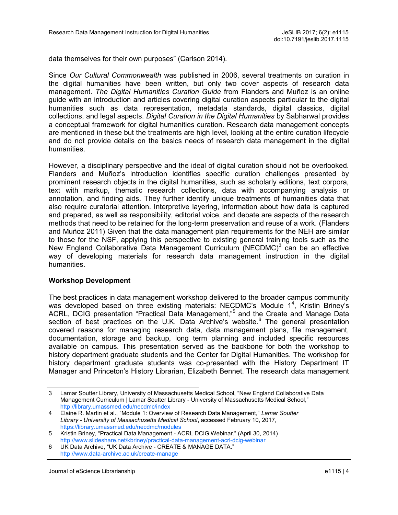data themselves for their own purposes" (Carlson 2014).

Since *Our Cultural Commonwealth* was published in 2006, several treatments on curation in the digital humanities have been written, but only two cover aspects of research data management. *The Digital Humanities Curation Guide* from Flanders and Muñoz is an online guide with an introduction and articles covering digital curation aspects particular to the digital humanities such as data representation, metadata standards, digital classics, digital collections, and legal aspects. *Digital Curation in the Digital Humanities* by Sabharwal provides a conceptual framework for digital humanities curation. Research data management concepts are mentioned in these but the treatments are high level, looking at the entire curation lifecycle and do not provide details on the basics needs of research data management in the digital humanities.

However, a disciplinary perspective and the ideal of digital curation should not be overlooked. Flanders and Muñoz's introduction identifies specific curation challenges presented by prominent research objects in the digital humanities, such as scholarly editions, text corpora, text with markup, thematic research collections, data with accompanying analysis or annotation, and finding aids. They further identify unique treatments of humanities data that also require curatorial attention. Interpretive layering, information about how data is captured and prepared, as well as responsibility, editorial voice, and debate are aspects of the research methods that need to be retained for the long-term preservation and reuse of a work. (Flanders and Muñoz 2011) Given that the data management plan requirements for the NEH are similar to those for the NSF, applying this perspective to existing general training tools such as the New England Collaborative Data Management Curriculum (NECDMC)<sup>3</sup> can be an effective way of developing materials for research data management instruction in the digital humanities.

#### **Workshop Development**

The best practices in data management workshop delivered to the broader campus community was developed based on three existing materials: NECDMC's Module  $1^4$ , Kristin Briney's ACRL, DCIG presentation "Practical Data Management,"<sup>5</sup> and the Create and Manage Data section of best practices on the U.K. Data Archive's website. $6$  The general presentation covered reasons for managing research data, data management plans, file management, documentation, storage and backup, long term planning and included specific resources available on campus. This presentation served as the backbone for both the workshop to history department graduate students and the Center for Digital Humanities. The workshop for history department graduate students was co-presented with the History Department IT Manager and Princeton's History Librarian, Elizabeth Bennet. The research data management

<sup>3</sup> Lamar Soutter Library, University of Massachusetts Medical School, "New England Collaborative Data Management Curriculum | Lamar Soutter Library - University of Massachusetts Medical School," <http://library.umassmed.edu/necdmc/index>

<sup>4</sup> Elaine R. Martin et al., "Module 1: Overview of Research Data Management," *Lamar Soutter Library - University of Massachusetts Medical School*, accessed February 10, 2017, <https://library.umassmed.edu/necdmc/modules>

<sup>5</sup> Kristin Briney, "Practical Data Management - ACRL DCIG Webinar." (April 30, 2014) [http://www.slideshare.net/kbriney/practical](http://www.slideshare.net/kbriney/practical-data-management-acrl-dcig-webinar)-data-management-acrl-dcig-webinar

<sup>6</sup> UK Data Archive, "UK Data Archive - CREATE & MANAGE DATA." http://www.data-[archive.ac.uk/create](http://www.data-archive.ac.uk/create-manage)-manage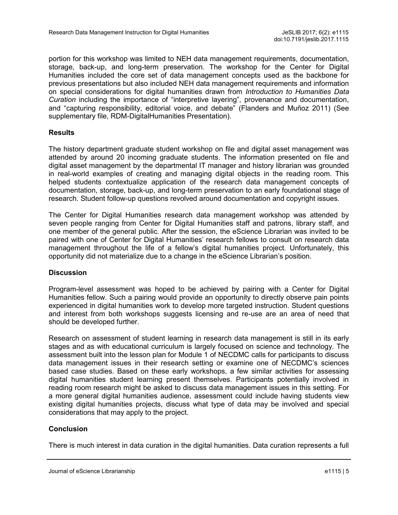portion for this workshop was limited to NEH data management requirements, documentation, storage, back-up, and long-term preservation. The workshop for the Center for Digital Humanities included the core set of data management concepts used as the backbone for previous presentations but also included NEH data management requirements and information on special considerations for digital humanities drawn from *Introduction to Humanities Data Curation* including the importance of "interpretive layering", provenance and documentation, and "capturing responsibility, editorial voice, and debate" (Flanders and Muñoz 2011) (See supplementary file, RDM-DigitalHumanities Presentation).

## **Results**

The history department graduate student workshop on file and digital asset management was attended by around 20 incoming graduate students. The information presented on file and digital asset management by the departmental IT manager and history librarian was grounded in real-world examples of creating and managing digital objects in the reading room. This helped students contextualize application of the research data management concepts of documentation, storage, back-up, and long-term preservation to an early foundational stage of research. Student follow-up questions revolved around documentation and copyright issues.

The Center for Digital Humanities research data management workshop was attended by seven people ranging from Center for Digital Humanities staff and patrons, library staff, and one member of the general public. After the session, the eScience Librarian was invited to be paired with one of Center for Digital Humanities' research fellows to consult on research data management throughout the life of a fellow's digital humanities project. Unfortunately, this opportunity did not materialize due to a change in the eScience Librarian's position.

#### **Discussion**

Program-level assessment was hoped to be achieved by pairing with a Center for Digital Humanities fellow. Such a pairing would provide an opportunity to directly observe pain points experienced in digital humanities work to develop more targeted instruction. Student questions and interest from both workshops suggests licensing and re-use are an area of need that should be developed further.

Research on assessment of student learning in research data management is still in its early stages and as with educational curriculum is largely focused on science and technology. The assessment built into the lesson plan for Module 1 of NECDMC calls for participants to discuss data management issues in their research setting or examine one of NECDMC's sciences based case studies. Based on these early workshops, a few similar activities for assessing digital humanities student learning present themselves. Participants potentially involved in reading room research might be asked to discuss data management issues in this setting. For a more general digital humanities audience, assessment could include having students view existing digital humanities projects, discuss what type of data may be involved and special considerations that may apply to the project.

## **Conclusion**

There is much interest in data curation in the digital humanities. Data curation represents a full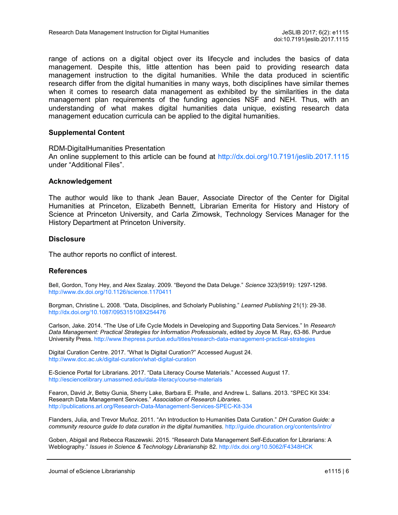range of actions on a digital object over its lifecycle and includes the basics of data management. Despite this, little attention has been paid to providing research data management instruction to the digital humanities. While the data produced in scientific research differ from the digital humanities in many ways, both disciplines have similar themes when it comes to research data management as exhibited by the similarities in the data management plan requirements of the funding agencies NSF and NEH. Thus, with an understanding of what makes digital humanities data unique, existing research data management education curricula can be applied to the digital humanities.

#### **Supplemental Content**

#### RDM-DigitalHumanities Presentation

An online supplement to this article can be found at <http://dx.doi.org/10.7191/jeslib.2017.1115> under "Additional Files".

#### **Acknowledgement**

The author would like to thank Jean Bauer, Associate Director of the Center for Digital Humanities at Princeton, Elizabeth Bennett, Librarian Emerita for History and History of Science at Princeton University, and Carla Zimowsk, Technology Services Manager for the History Department at Princeton University.

#### **Disclosure**

The author reports no conflict of interest.

#### **References**

Bell, Gordon, Tony Hey, and Alex Szalay. 2009. "Beyond the Data Deluge." *Science* 323(5919): 1297-1298. <http://www.dx.doi.org/10.1126/science.1170411>

Borgman, Christine L. 2008. "Data, Disciplines, and Scholarly Publishing." *Learned Publishing* 21(1): 29-38. <http://dx.doi.org/10.1087/095315108X254476>

Carlson, Jake. 2014. "The Use of Life Cycle Models in Developing and Supporting Data Services." In *Research Data Management: Practical Strategies for Information Professionals*, edited by Joyce M. Ray, 63-86. Purdue University Press. [http://www.thepress.purdue.edu/titles/research](http://www.thepress.purdue.edu/titles/research-data-management-practical-strategies)-data-management-practical-strategies

Digital Curation Centre. 2017. "What Is Digital Curation?" Accessed August 24. [http://www.dcc.ac.uk/digital](http://www.dcc.ac.uk/digital-curation/what-digital-curation)-curation/what-digital-curation

E-Science Portal for Librarians. 2017. "Data Literacy Course Materials." Accessed August 17. [http://esciencelibrary.umassmed.edu/data](http://esciencelibrary.umassmed.edu/data-literacy/course-materials)-literacy/course-materials

Fearon, David Jr, Betsy Gunia, Sherry Lake, Barbara E. Pralle, and Andrew L. Sallans. 2013. "SPEC Kit 334: Research Data Management Services." *Association of Research Libraries*. [http://publications.arl.org/Research](http://publications.arl.org/Research-Data-Management-Services-SPEC-Kit-334)-Data-Management-Services-SPEC-Kit-334

Flanders, Julia, and Trevor Muñoz. 2011. "An Introduction to Humanities Data Curation." *DH Curation Guide: a community resource guide to data curation in the digital humanities.* <http://guide.dhcuration.org/contents/intro/>

Goben, Abigail and Rebecca Raszewski. 2015. "Research Data Management Self-Education for Librarians: A Webliography." *Issues in Science & Technology Librarianship* 82.<http://dx.doi.org/10.5062/F4348HCK>